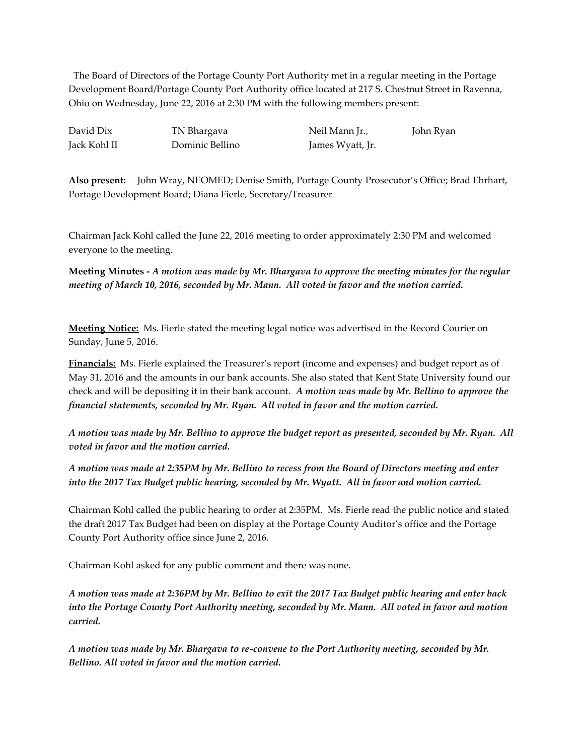The Board of Directors of the Portage County Port Authority met in a regular meeting in the Portage Development Board/Portage County Port Authority office located at 217 S. Chestnut Street in Ravenna, Ohio on Wednesday, June 22, 2016 at 2:30 PM with the following members present:

Jack Kohl II Dominic Bellino James Wyatt, Jr.

David Dix TN Bhargava Neil Mann Jr., John Ryan

**Also present:** John Wray, NEOMED; Denise Smith, Portage County Prosecutor's Office; Brad Ehrhart, Portage Development Board; Diana Fierle, Secretary/Treasurer

Chairman Jack Kohl called the June 22, 2016 meeting to order approximately 2:30 PM and welcomed everyone to the meeting.

**Meeting Minutes -** *A motion was made by Mr. Bhargava to approve the meeting minutes for the regular meeting of March 10, 2016, seconded by Mr. Mann. All voted in favor and the motion carried.*

**Meeting Notice:** Ms. Fierle stated the meeting legal notice was advertised in the Record Courier on Sunday, June 5, 2016.

**Financials:** Ms. Fierle explained the Treasurer's report (income and expenses) and budget report as of May 31, 2016 and the amounts in our bank accounts. She also stated that Kent State University found our check and will be depositing it in their bank account. *A motion was made by Mr. Bellino to approve the financial statements, seconded by Mr. Ryan. All voted in favor and the motion carried.*

*A motion was made by Mr. Bellino to approve the budget report as presented, seconded by Mr. Ryan. All voted in favor and the motion carried.*

*A motion was made at 2:35PM by Mr. Bellino to recess from the Board of Directors meeting and enter into the 2017 Tax Budget public hearing, seconded by Mr. Wyatt. All in favor and motion carried.*

Chairman Kohl called the public hearing to order at 2:35PM. Ms. Fierle read the public notice and stated the draft 2017 Tax Budget had been on display at the Portage County Auditor's office and the Portage County Port Authority office since June 2, 2016.

Chairman Kohl asked for any public comment and there was none.

*A motion was made at 2:36PM by Mr. Bellino to exit the 2017 Tax Budget public hearing and enter back into the Portage County Port Authority meeting, seconded by Mr. Mann. All voted in favor and motion carried.*

*A motion was made by Mr. Bhargava to re-convene to the Port Authority meeting, seconded by Mr. Bellino. All voted in favor and the motion carried.*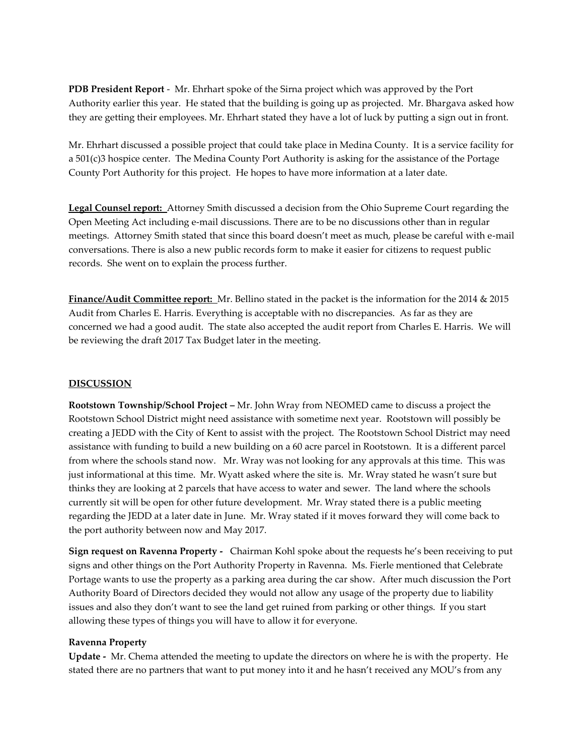**PDB President Report** - Mr. Ehrhart spoke of the Sirna project which was approved by the Port Authority earlier this year. He stated that the building is going up as projected. Mr. Bhargava asked how they are getting their employees. Mr. Ehrhart stated they have a lot of luck by putting a sign out in front.

Mr. Ehrhart discussed a possible project that could take place in Medina County. It is a service facility for a 501(c)3 hospice center. The Medina County Port Authority is asking for the assistance of the Portage County Port Authority for this project. He hopes to have more information at a later date.

**Legal Counsel report:** Attorney Smith discussed a decision from the Ohio Supreme Court regarding the Open Meeting Act including e-mail discussions. There are to be no discussions other than in regular meetings. Attorney Smith stated that since this board doesn't meet as much, please be careful with e-mail conversations. There is also a new public records form to make it easier for citizens to request public records. She went on to explain the process further.

**Finance/Audit Committee report:** Mr. Bellino stated in the packet is the information for the 2014 & 2015 Audit from Charles E. Harris. Everything is acceptable with no discrepancies. As far as they are concerned we had a good audit. The state also accepted the audit report from Charles E. Harris. We will be reviewing the draft 2017 Tax Budget later in the meeting.

### **DISCUSSION**

**Rootstown Township/School Project –** Mr. John Wray from NEOMED came to discuss a project the Rootstown School District might need assistance with sometime next year. Rootstown will possibly be creating a JEDD with the City of Kent to assist with the project. The Rootstown School District may need assistance with funding to build a new building on a 60 acre parcel in Rootstown. It is a different parcel from where the schools stand now. Mr. Wray was not looking for any approvals at this time. This was just informational at this time. Mr. Wyatt asked where the site is. Mr. Wray stated he wasn't sure but thinks they are looking at 2 parcels that have access to water and sewer. The land where the schools currently sit will be open for other future development. Mr. Wray stated there is a public meeting regarding the JEDD at a later date in June. Mr. Wray stated if it moves forward they will come back to the port authority between now and May 2017.

**Sign request on Ravenna Property -** Chairman Kohl spoke about the requests he's been receiving to put signs and other things on the Port Authority Property in Ravenna. Ms. Fierle mentioned that Celebrate Portage wants to use the property as a parking area during the car show. After much discussion the Port Authority Board of Directors decided they would not allow any usage of the property due to liability issues and also they don't want to see the land get ruined from parking or other things. If you start allowing these types of things you will have to allow it for everyone.

#### **Ravenna Property**

**Update -** Mr. Chema attended the meeting to update the directors on where he is with the property. He stated there are no partners that want to put money into it and he hasn't received any MOU's from any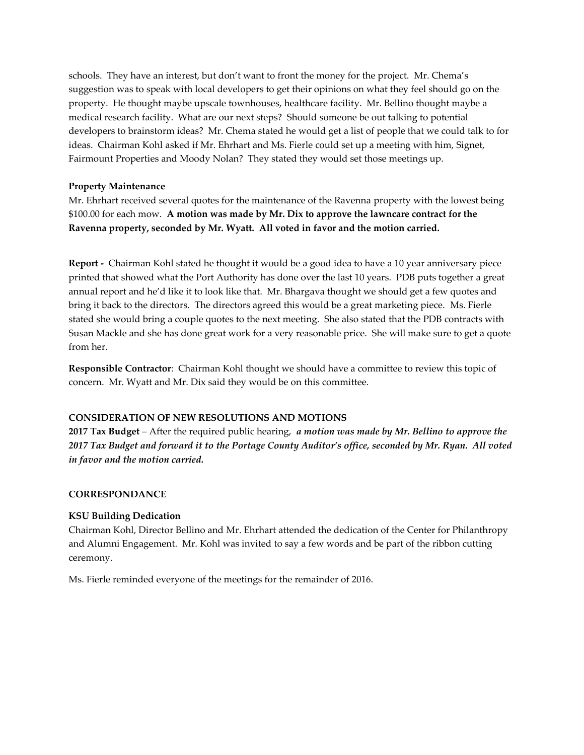schools. They have an interest, but don't want to front the money for the project. Mr. Chema's suggestion was to speak with local developers to get their opinions on what they feel should go on the property. He thought maybe upscale townhouses, healthcare facility. Mr. Bellino thought maybe a medical research facility. What are our next steps? Should someone be out talking to potential developers to brainstorm ideas? Mr. Chema stated he would get a list of people that we could talk to for ideas. Chairman Kohl asked if Mr. Ehrhart and Ms. Fierle could set up a meeting with him, Signet, Fairmount Properties and Moody Nolan? They stated they would set those meetings up.

## **Property Maintenance**

Mr. Ehrhart received several quotes for the maintenance of the Ravenna property with the lowest being \$100.00 for each mow. **A motion was made by Mr. Dix to approve the lawncare contract for the Ravenna property, seconded by Mr. Wyatt. All voted in favor and the motion carried.**

**Report -** Chairman Kohl stated he thought it would be a good idea to have a 10 year anniversary piece printed that showed what the Port Authority has done over the last 10 years. PDB puts together a great annual report and he'd like it to look like that. Mr. Bhargava thought we should get a few quotes and bring it back to the directors. The directors agreed this would be a great marketing piece. Ms. Fierle stated she would bring a couple quotes to the next meeting. She also stated that the PDB contracts with Susan Mackle and she has done great work for a very reasonable price. She will make sure to get a quote from her.

**Responsible Contractor**: Chairman Kohl thought we should have a committee to review this topic of concern. Mr. Wyatt and Mr. Dix said they would be on this committee.

#### **CONSIDERATION OF NEW RESOLUTIONS AND MOTIONS**

**2017 Tax Budget** – After the required public hearing, *a motion was made by Mr. Bellino to approve the 2017 Tax Budget and forward it to the Portage County Auditor's office, seconded by Mr. Ryan. All voted in favor and the motion carried.*

#### **CORRESPONDANCE**

# **KSU Building Dedication**

Chairman Kohl, Director Bellino and Mr. Ehrhart attended the dedication of the Center for Philanthropy and Alumni Engagement. Mr. Kohl was invited to say a few words and be part of the ribbon cutting ceremony.

Ms. Fierle reminded everyone of the meetings for the remainder of 2016.